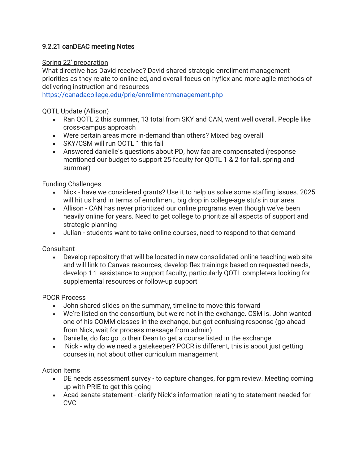## 9.2.21 canDEAC meeting Notes

## Spring 22' preparation

What directive has David received? David shared strategic enrollment management priorities as they relate to online ed, and overall focus on hyflex and more agile methods of delivering instruction and resources

<https://canadacollege.edu/prie/enrollmentmanagement.php>

QOTL Update (Allison)

- Ran QOTL 2 this summer, 13 total from SKY and CAN, went well overall. People like cross-campus approach
- Were certain areas more in-demand than others? Mixed bag overall
- SKY/CSM will run OOTL 1 this fall
- Answered danielle's questions about PD, how fac are compensated (response mentioned our budget to support 25 faculty for QOTL 1 & 2 for fall, spring and summer)

Funding Challenges

- Nick have we considered grants? Use it to help us solve some staffing issues. 2025 will hit us hard in terms of enrollment, big drop in college-age stu's in our area.
- Allison CAN has never prioritized our online programs even though we've been heavily online for years. Need to get college to prioritize all aspects of support and strategic planning
- Julian students want to take online courses, need to respond to that demand

**Consultant** 

• Develop repository that will be located in new consolidated online teaching web site and will link to Canvas resources, develop flex trainings based on requested needs, develop 1:1 assistance to support faculty, particularly QOTL completers looking for supplemental resources or follow-up support

POCR Process

- John shared slides on the summary, timeline to move this forward
- We're listed on the consortium, but we're not in the exchange. CSM is. John wanted one of his COMM classes in the exchange, but got confusing response (go ahead from Nick, wait for process message from admin)
- Danielle, do fac go to their Dean to get a course listed in the exchange
- Nick why do we need a gatekeeper? POCR is different, this is about just getting courses in, not about other curriculum management

Action Items

- DE needs assessment survey to capture changes, for pgm review. Meeting coming up with PRIE to get this going
- Acad senate statement clarify Nick's information relating to statement needed for **CVC**